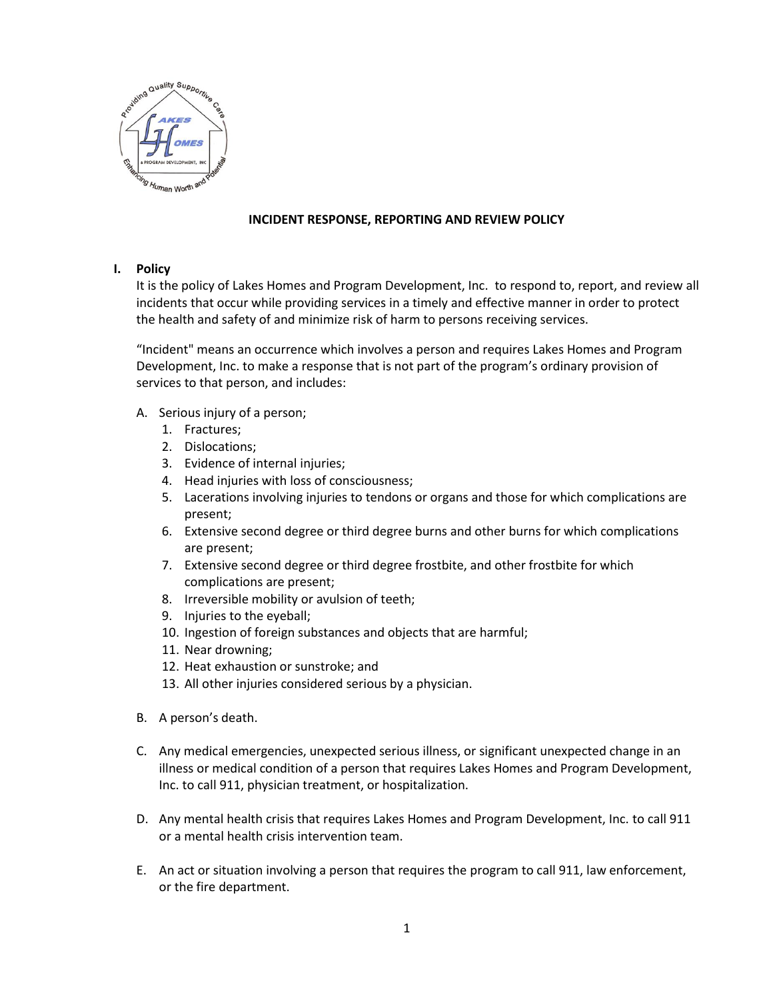

#### **INCIDENT RESPONSE, REPORTING AND REVIEW POLICY**

#### **I. Policy**

It is the policy of Lakes Homes and Program Development, Inc. to respond to, report, and review all incidents that occur while providing services in a timely and effective manner in order to protect the health and safety of and minimize risk of harm to persons receiving services.

"Incident" means an occurrence which involves a person and requires Lakes Homes and Program Development, Inc. to make a response that is not part of the program's ordinary provision of services to that person, and includes:

- A. Serious injury of a person;
	- 1. Fractures;
	- 2. Dislocations;
	- 3. Evidence of internal injuries;
	- 4. Head injuries with loss of consciousness;
	- 5. Lacerations involving injuries to tendons or organs and those for which complications are present;
	- 6. Extensive second degree or third degree burns and other burns for which complications are present;
	- 7. Extensive second degree or third degree frostbite, and other frostbite for which complications are present;
	- 8. Irreversible mobility or avulsion of teeth;
	- 9. Injuries to the eyeball;
	- 10. Ingestion of foreign substances and objects that are harmful;
	- 11. Near drowning;
	- 12. Heat exhaustion or sunstroke; and
	- 13. All other injuries considered serious by a physician.
- B. A person's death.
- C. Any medical emergencies, unexpected serious illness, or significant unexpected change in an illness or medical condition of a person that requires Lakes Homes and Program Development, Inc. to call 911, physician treatment, or hospitalization.
- D. Any mental health crisis that requires Lakes Homes and Program Development, Inc. to call 911 or a mental health crisis intervention team.
- E. An act or situation involving a person that requires the program to call 911, law enforcement, or the fire department.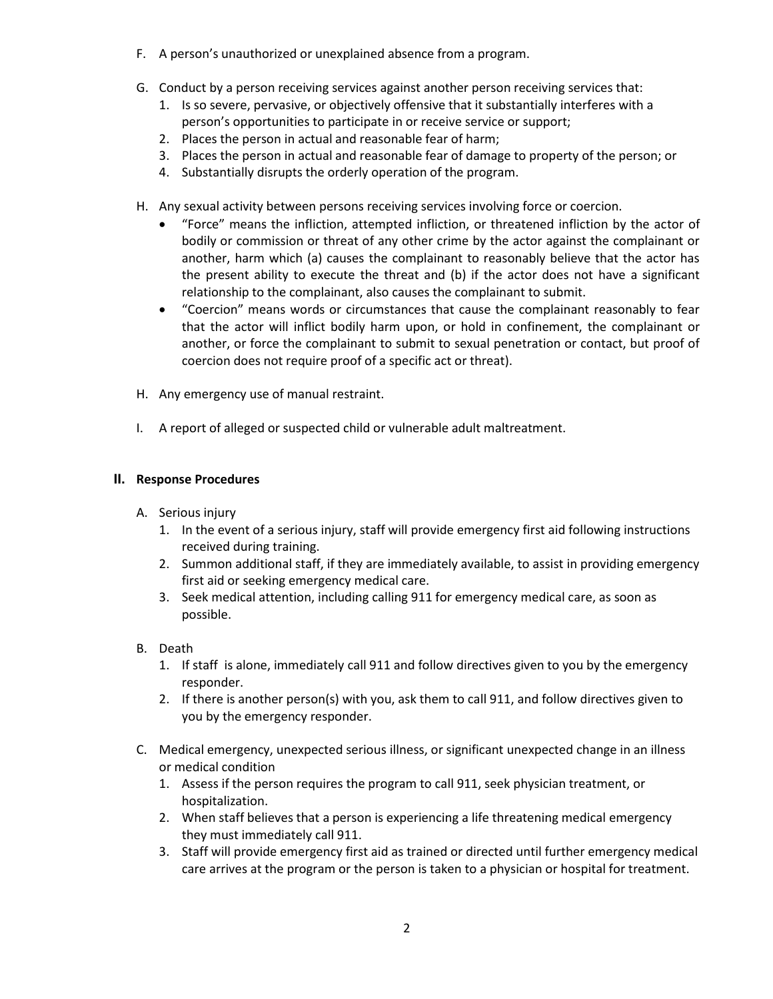- F. A person's unauthorized or unexplained absence from a program.
- G. Conduct by a person receiving services against another person receiving services that:
	- 1. Is so severe, pervasive, or objectively offensive that it substantially interferes with a person's opportunities to participate in or receive service or support;
	- 2. Places the person in actual and reasonable fear of harm;
	- 3. Places the person in actual and reasonable fear of damage to property of the person; or
	- 4. Substantially disrupts the orderly operation of the program.
- H. Any sexual activity between persons receiving services involving force or coercion.
	- "Force" means the infliction, attempted infliction, or threatened infliction by the actor of bodily or commission or threat of any other crime by the actor against the complainant or another, harm which (a) causes the complainant to reasonably believe that the actor has the present ability to execute the threat and (b) if the actor does not have a significant relationship to the complainant, also causes the complainant to submit.
	- "Coercion" means words or circumstances that cause the complainant reasonably to fear that the actor will inflict bodily harm upon, or hold in confinement, the complainant or another, or force the complainant to submit to sexual penetration or contact, but proof of coercion does not require proof of a specific act or threat).
- H. Any emergency use of manual restraint.
- I. A report of alleged or suspected child or vulnerable adult maltreatment.

### **II. Response Procedures**

- A. Serious injury
	- 1. In the event of a serious injury, staff will provide emergency first aid following instructions received during training.
	- 2. Summon additional staff, if they are immediately available, to assist in providing emergency first aid or seeking emergency medical care.
	- 3. Seek medical attention, including calling 911 for emergency medical care, as soon as possible.
- B. Death
	- 1. If staff is alone, immediately call 911 and follow directives given to you by the emergency responder.
	- 2. If there is another person(s) with you, ask them to call 911, and follow directives given to you by the emergency responder.
- C. Medical emergency, unexpected serious illness, or significant unexpected change in an illness or medical condition
	- 1. Assess if the person requires the program to call 911, seek physician treatment, or hospitalization.
	- 2. When staff believes that a person is experiencing a life threatening medical emergency they must immediately call 911.
	- 3. Staff will provide emergency first aid as trained or directed until further emergency medical care arrives at the program or the person is taken to a physician or hospital for treatment.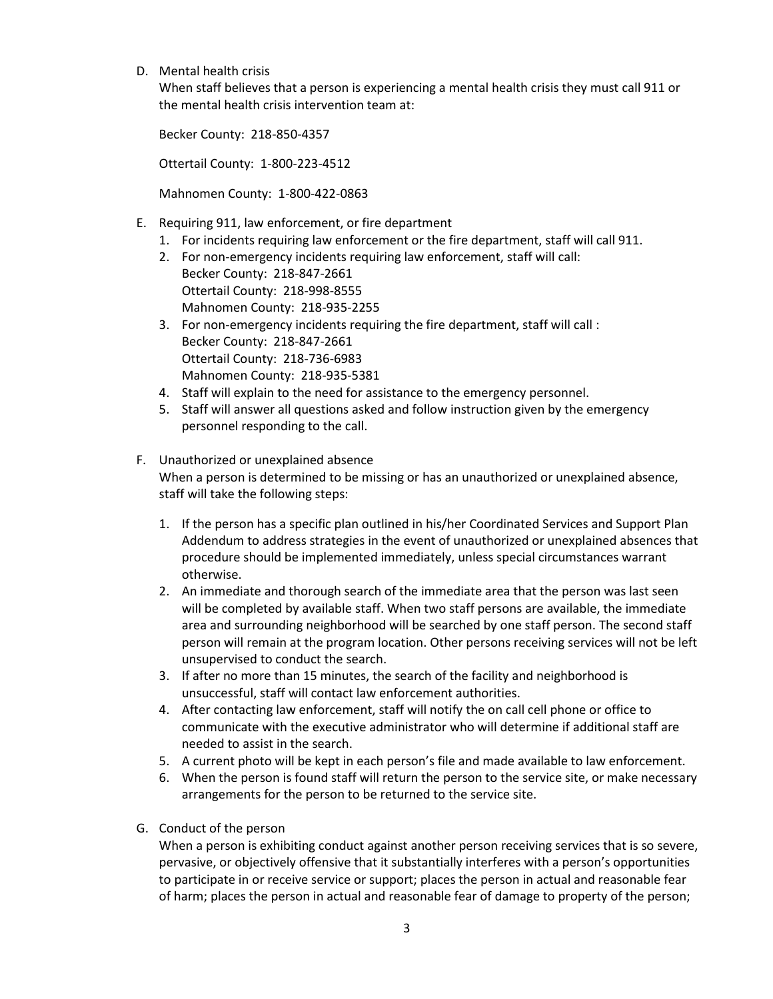D. Mental health crisis

When staff believes that a person is experiencing a mental health crisis they must call 911 or the mental health crisis intervention team at:

Becker County: 218-850-4357

Ottertail County: 1-800-223-4512

Mahnomen County: 1-800-422-0863

- E. Requiring 911, law enforcement, or fire department
	- 1. For incidents requiring law enforcement or the fire department, staff will call 911.
	- 2. For non-emergency incidents requiring law enforcement, staff will call: Becker County: 218-847-2661 Ottertail County: 218-998-8555 Mahnomen County: 218-935-2255
	- 3. For non-emergency incidents requiring the fire department, staff will call : Becker County: 218-847-2661 Ottertail County: 218-736-6983 Mahnomen County: 218-935-5381
	- 4. Staff will explain to the need for assistance to the emergency personnel.
	- 5. Staff will answer all questions asked and follow instruction given by the emergency personnel responding to the call.
- F. Unauthorized or unexplained absence When a person is determined to be missing or has an unauthorized or unexplained absence, staff will take the following steps:
	- 1. If the person has a specific plan outlined in his/her Coordinated Services and Support Plan Addendum to address strategies in the event of unauthorized or unexplained absences that procedure should be implemented immediately, unless special circumstances warrant otherwise.
	- 2. An immediate and thorough search of the immediate area that the person was last seen will be completed by available staff. When two staff persons are available, the immediate area and surrounding neighborhood will be searched by one staff person. The second staff person will remain at the program location. Other persons receiving services will not be left unsupervised to conduct the search.
	- 3. If after no more than 15 minutes, the search of the facility and neighborhood is unsuccessful, staff will contact law enforcement authorities.
	- 4. After contacting law enforcement, staff will notify the on call cell phone or office to communicate with the executive administrator who will determine if additional staff are needed to assist in the search.
	- 5. A current photo will be kept in each person's file and made available to law enforcement.
	- 6. When the person is found staff will return the person to the service site, or make necessary arrangements for the person to be returned to the service site.
- G. Conduct of the person

When a person is exhibiting conduct against another person receiving services that is so severe, pervasive, or objectively offensive that it substantially interferes with a person's opportunities to participate in or receive service or support; places the person in actual and reasonable fear of harm; places the person in actual and reasonable fear of damage to property of the person;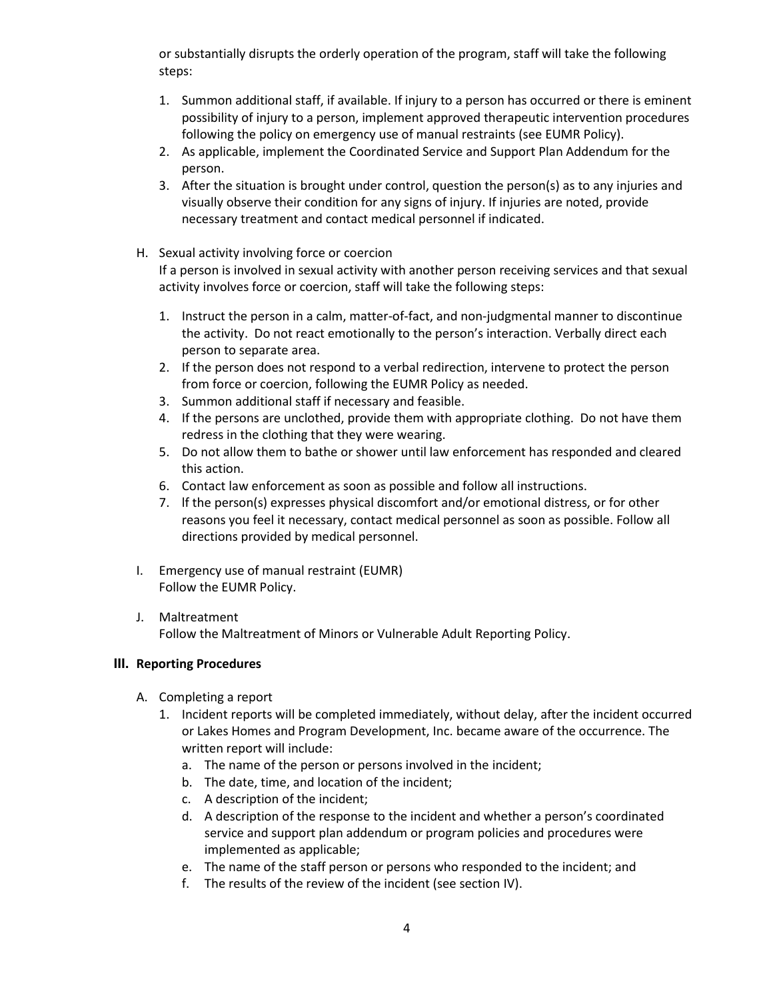or substantially disrupts the orderly operation of the program, staff will take the following steps:

- 1. Summon additional staff, if available. If injury to a person has occurred or there is eminent possibility of injury to a person, implement approved therapeutic intervention procedures following the policy on emergency use of manual restraints (see EUMR Policy).
- 2. As applicable, implement the Coordinated Service and Support Plan Addendum for the person.
- 3. After the situation is brought under control, question the person(s) as to any injuries and visually observe their condition for any signs of injury. If injuries are noted, provide necessary treatment and contact medical personnel if indicated.
- H. Sexual activity involving force or coercion

If a person is involved in sexual activity with another person receiving services and that sexual activity involves force or coercion, staff will take the following steps:

- 1. Instruct the person in a calm, matter-of-fact, and non-judgmental manner to discontinue the activity. Do not react emotionally to the person's interaction. Verbally direct each person to separate area.
- 2. If the person does not respond to a verbal redirection, intervene to protect the person from force or coercion, following the EUMR Policy as needed.
- 3. Summon additional staff if necessary and feasible.
- 4. If the persons are unclothed, provide them with appropriate clothing. Do not have them redress in the clothing that they were wearing.
- 5. Do not allow them to bathe or shower until law enforcement has responded and cleared this action.
- 6. Contact law enforcement as soon as possible and follow all instructions.
- 7. lf the person(s) expresses physical discomfort and/or emotional distress, or for other reasons you feel it necessary, contact medical personnel as soon as possible. Follow all directions provided by medical personnel.
- I. Emergency use of manual restraint (EUMR) Follow the EUMR Policy.
- J. Maltreatment

Follow the Maltreatment of Minors or Vulnerable Adult Reporting Policy.

# **III. Reporting Procedures**

- A. Completing a report
	- 1. Incident reports will be completed immediately, without delay, after the incident occurred or Lakes Homes and Program Development, Inc. became aware of the occurrence. The written report will include:
		- a. The name of the person or persons involved in the incident;
		- b. The date, time, and location of the incident;
		- c. A description of the incident;
		- d. A description of the response to the incident and whether a person's coordinated service and support plan addendum or program policies and procedures were implemented as applicable;
		- e. The name of the staff person or persons who responded to the incident; and
		- f. The results of the review of the incident (see section IV).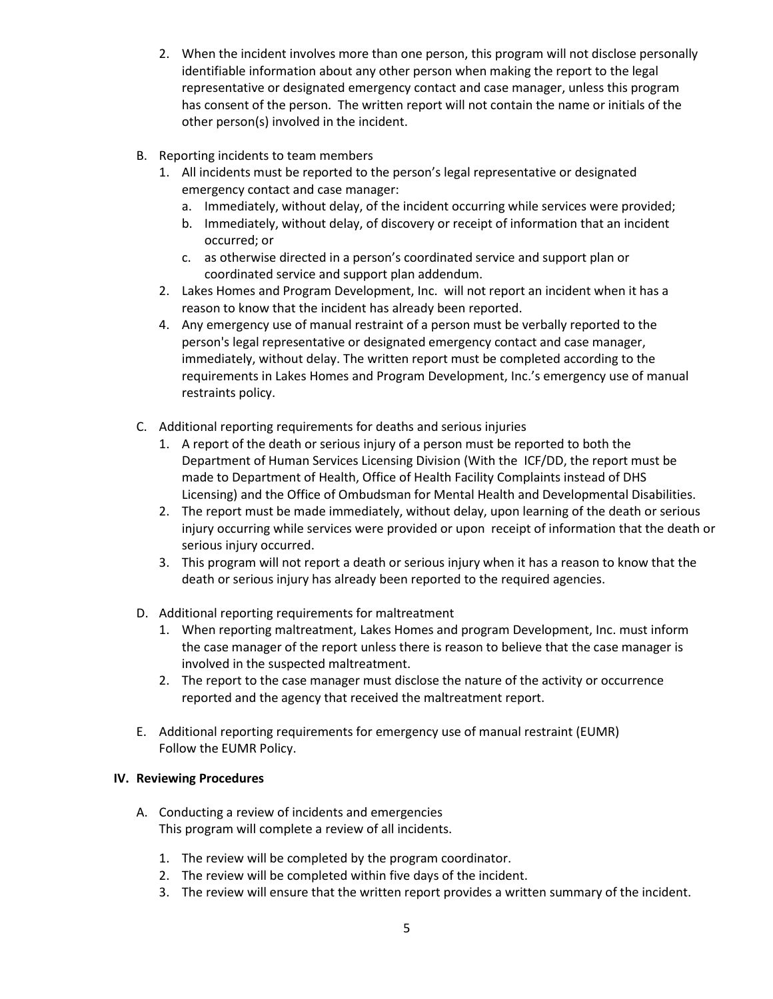- 2. When the incident involves more than one person, this program will not disclose personally identifiable information about any other person when making the report to the legal representative or designated emergency contact and case manager, unless this program has consent of the person. The written report will not contain the name or initials of the other person(s) involved in the incident.
- B. Reporting incidents to team members
	- 1. All incidents must be reported to the person's legal representative or designated emergency contact and case manager:
		- a. Immediately, without delay, of the incident occurring while services were provided;
		- b. Immediately, without delay, of discovery or receipt of information that an incident occurred; or
		- c. as otherwise directed in a person's coordinated service and support plan or coordinated service and support plan addendum.
	- 2. Lakes Homes and Program Development, Inc. will not report an incident when it has a reason to know that the incident has already been reported.
	- 4. Any emergency use of manual restraint of a person must be verbally reported to the person's legal representative or designated emergency contact and case manager, immediately, without delay. The written report must be completed according to the requirements in Lakes Homes and Program Development, Inc.'s emergency use of manual restraints policy.
- C. Additional reporting requirements for deaths and serious injuries
	- 1. A report of the death or serious injury of a person must be reported to both the Department of Human Services Licensing Division (With the ICF/DD, the report must be made to Department of Health, Office of Health Facility Complaints instead of DHS Licensing) and the Office of Ombudsman for Mental Health and Developmental Disabilities.
	- 2. The report must be made immediately, without delay, upon learning of the death or serious injury occurring while services were provided or upon receipt of information that the death or serious injury occurred.
	- 3. This program will not report a death or serious injury when it has a reason to know that the death or serious injury has already been reported to the required agencies.
- D. Additional reporting requirements for maltreatment
	- 1. When reporting maltreatment, Lakes Homes and program Development, Inc. must inform the case manager of the report unless there is reason to believe that the case manager is involved in the suspected maltreatment.
	- 2. The report to the case manager must disclose the nature of the activity or occurrence reported and the agency that received the maltreatment report.
- E. Additional reporting requirements for emergency use of manual restraint (EUMR) Follow the EUMR Policy.

### **IV. Reviewing Procedures**

- A. Conducting a review of incidents and emergencies This program will complete a review of all incidents.
	- 1. The review will be completed by the program coordinator.
	- 2. The review will be completed within five days of the incident.
	- 3. The review will ensure that the written report provides a written summary of the incident.